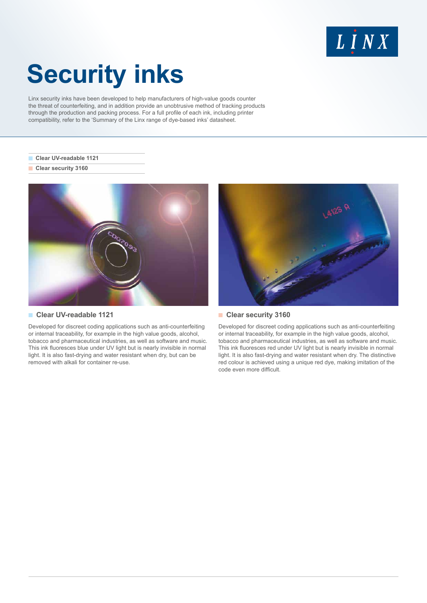## $L$   $I$   $N X$

# **Security inks**

Linx security inks have been developed to help manufacturers of high-value goods counter the threat of counterfeiting, and in addition provide an unobtrusive method of tracking products through the production and packing process. For a full profile of each ink, including printer compatibility, refer to the 'Summary of the Linx range of dye-based inks' datasheet.

#### **Clear UV-readable 1121**

**Clear security 3160** 



#### **Clear UV-readable 1121**

Developed for discreet coding applications such as anti-counterfeiting or internal traceability, for example in the high value goods, alcohol, tobacco and pharmaceutical industries, as well as software and music. This ink fluoresces blue under UV light but is nearly invisible in normal light. It is also fast-drying and water resistant when dry, but can be removed with alkali for container re-use.



#### **Clear security 3160**

Developed for discreet coding applications such as anti-counterfeiting or internal traceability, for example in the high value goods, alcohol, tobacco and pharmaceutical industries, as well as software and music. This ink fluoresces red under UV light but is nearly invisible in normal light. It is also fast-drying and water resistant when dry. The distinctive red colour is achieved using a unique red dye, making imitation of the code even more difficult.